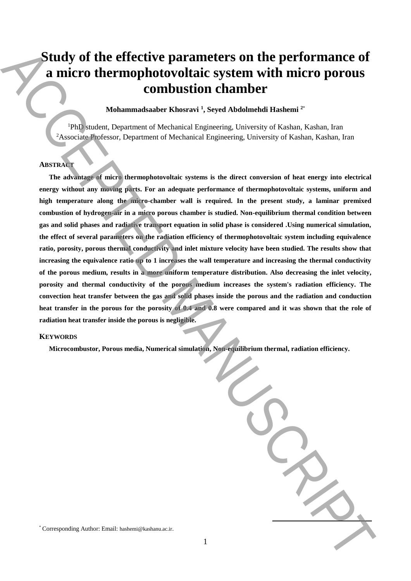# **Study of the effective parameters on the performance of a micro thermophotovoltaic system with micro porous combustion chamber**

**Mohammadsaaber Khosravi <sup>1</sup> , Seyed Abdolmehdi Hashemi <sup>2</sup>**\*

<sup>1</sup>PhD student, Department of Mechanical Engineering, University of Kashan, Kashan, Iran <sup>2</sup>Associate Professor, Department of Mechanical Engineering, University of Kashan, Kashan, Iran

## **ABSTRACT**

**The advantage of micro thermophotovoltaic systems is the direct conversion of heat energy into electrical energy without any moving parts. For an adequate performance of thermophotovoltaic systems, uniform and high temperature along the micro-chamber wall is required. In the present study, a laminar premixed combustion of hydrogen-air in a micro porous chamber is studied. Non-equilibrium thermal condition between gas and solid phases and radiative transport equation in solid phase is considered .Using numerical simulation, the effect of several parameters on the radiation efficiency of thermophotovoltaic system including equivalence ratio, porosity, porous thermal conductivity and inlet mixture velocity have been studied. The results show that increasing the equivalence ratio up to 1 increases the wall temperature and increasing the thermal conductivity of the porous medium, results in a more uniform temperature distribution. Also decreasing the inlet velocity, porosity and thermal conductivity of the porous medium increases the system's radiation efficiency. The convection heat transfer between the gas and solid phases inside the porous and the radiation and conduction**  heat transfer in the porous for the porosity of 0.4 and 0.8 were compared and it was shown that the role of **radiation heat transfer inside the porous is negligible.** Study of the effective parameters on the performance of<br>
a micro thermophotovoltaic system with micro porous<br>
combustion channels of Khemical Engeneing Usinesis of Kaban kahan in<br>
ABC Model and the system of this based of

#### **KEYWORDS**

**Microcombustor, Porous media, Numerical simulation, Non-equilibrium thermal, radiation efficiency.**

\* Corresponding Author: Email: hashemi@kashanu.ac.ir.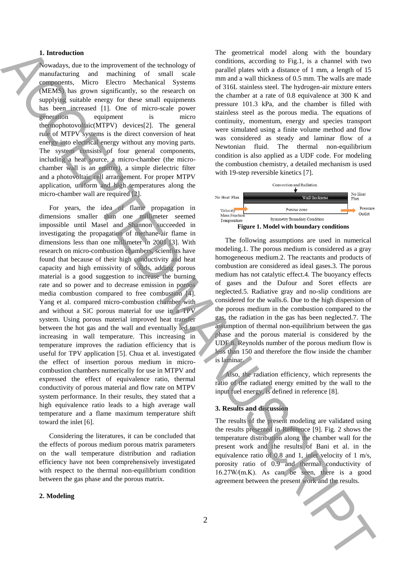#### **1. Introduction**

Nowadays, due to the improvement of the technology of manufacturing and machining of small scale components, Micro Electro Mechanical Systems (MEMS) has grown significantly, so the research on supplying suitable energy for these small equipments has been increased [1]. One of micro-scale power generation equipment is micro thermophotovoltaic(MTPV) devices[2]. The general rule of MTPV systems is the direct conversion of heat energy into electrical energy without any moving parts. The system consists of four general components, including a heat source, a micro-chamber (the microchamber wall is an emitter), a simple dielectric filter and a photovoltaic cell arrangement. For proper MTPV application, uniform and high temperatures along the micro-chamber wall are required [2].

For years, the idea of flame propagation in dimensions smaller than one millimeter seemed impossible until Masel and Shannon succeeded in investigating the propagation of methane-air flame in dimensions less than one millimeter in 2001 [3]. With research on micro-combustion chambers, scientists have found that because of their high conductivity and heat capacity and high emissivity of solids, adding porous material is a good suggestion to increase the burning rate and so power and to decrease emission in porous media combustion compared to free combustion [4]. Yang et al. compared micro-combustion chamber with and without a SiC porous material for use in a TPV system. Using porous material improved heat transfer between the hot gas and the wall and eventually led to increasing in wall temperature. This increasing in temperature improves the radiation efficiency that is useful for TPV application [5]. Chua et al. investigated the effect of insertion porous medium in microcombustion chambers numerically for use in MTPV and expressed the effect of equivalence ratio, thermal conductivity of porous material and flow rate on MTPV system performance. In their results, they stated that a high equivalence ratio leads to a high average wall temperature and a flame maximum temperature shift toward the inlet [6]. **1.** Interded to the main of the the three property in the main of the results of the results of the results of the results of the results of the results of the results of the results of the results of the results of the

Considering the literatures, it can be concluded that the effects of porous medium porous matrix parameters on the wall temperature distribution and radiation efficiency have not been comprehensively investigated with respect to the thermal non-equilibrium condition between the gas phase and the porous matrix.

## **2. Modeling**

The geometrical model along with the boundary conditions, according to Fig.1, is a channel with two parallel plates with a distance of 1 mm, a length of 15 mm and a wall thickness of 0.5 mm. The walls are made of 316L stainless steel. The hydrogen-air mixture enters the chamber at a rate of 0.8 equivalence at 300 K and pressure 101.3 kPa, and the chamber is filled with stainless steel as the porous media. The equations of continuity, momentum, energy and species transport were simulated using a finite volume method and flow was considered as steady and laminar flow of a Newtonian fluid. The thermal non-equilibrium condition is also applied as a UDF code. For modeling the combustion chemistry, a detailed mechanism is used with 19-step reversible kinetics [7].



The following assumptions are used in numerical modeling.1. The porous medium is considered as a gray homogeneous medium.2. The reactants and products of combustion are considered as ideal gases.3. The porous medium has not catalytic effect.4. The buoyancy effects of gases and the Dufour and Soret effects are neglected.5. Radiative gray and no-slip conditions are considered for the walls.6. Due to the high dispersion of the porous medium in the combustion compared to the gas, the radiation in the gas has been neglected.7. The assumption of thermal non-equilibrium between the gas phase and the porous material is considered by the UDF.8. Reynolds number of the porous medium flow is less than 150 and therefore the flow inside the chamber is laminar.

Also, the radiation efficiency, which represents the ratio of the radiated energy emitted by the wall to the input fuel energy, is defined in reference [8].

#### **3. Results and discussion**

The results of the present modeling are validated using the results presented in Reference [9]. Fig. 2 shows the temperature distribution along the chamber wall for the present work and the results of Bani et al. in the equivalence ratio of 0.8 and 1, inlet velocity of 1 m/s, porosity ratio of 0.9 and thermal conductivity of 16.27W⁄(m.K). As can be seen, there is a good

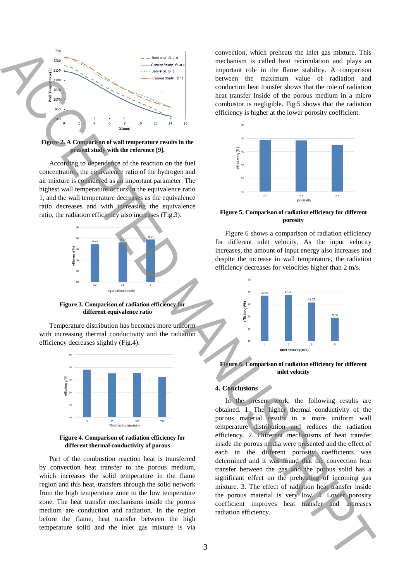

**Figure 2. A Comparison of wall temperature results in the present study with the reference [9].**

According to dependence of the reaction on the fuel concentration, the equivalence ratio of the hydrogen and air mixture is considered as an important parameter. The highest wall temperature occurs in the equivalence ratio 1, and the wall temperature decreases as the equivalence ratio decreases and with increasing the equivalence ratio, the radiation efficiency also increases (Fig.3).



**Figure 3. Comparison of radiation efficiency for different equivalence ratio**

Temperature distribution has becomes more uniform with increasing thermal conductivity and the radiation efficiency decreases slightly (Fig.4).



**Figure 4. Comparison of radiation efficiency for different thermal conductivity of porous**

Part of the combustion reaction heat is transferred by convection heat transfer to the porous medium, which increases the solid temperature in the flame region and this heat, transfers through the solid network from the high temperature zone to the low temperature zone. The heat transfer mechanisms inside the porous medium are conduction and radiation. In the region before the flame, heat transfer between the high temperature solid and the inlet gas mixture is via

convection, which preheats the inlet gas mixture. This mechanism is called heat recirculation and plays an important role in the flame stability. A comparison between the maximum value of radiation and conduction heat transfer shows that the role of radiation heat transfer inside of the porous medium in a micro combustor is negligible. Fig.5 shows that the radiation efficiency is higher at the lower porosity coefficient.



**Figure 5. Comparison of radiation efficiency for different porosity**

Figure 6 shows a comparison of radiation efficiency for different inlet velocity. As the input velocity increases, the amount of input energy also increases and despite the increase in wall temperature, the radiation efficiency decreases for velocities higher than 2 m/s.



**Figure 6. Comparison of radiation efficiency for different inlet velocity**

## **4. Conclusions**

In the present work, the following results are obtained. 1. The higher thermal conductivity of the porous material results in a more uniform wall temperature distribution and reduces the radiation efficiency. 2. Different mechanisms of heat transfer inside the porous media were presented and the effect of each in the different porosity coefficients was determined and it was found that the convection heat transfer between the gas and the porous solid has a significant effect on the preheating of incoming gas mixture. 3. The effect of radiation heat transfer inside the porous material is very low. 4. Lower porosity coefficient improves heat transfer and increases radiation effects the control of the state of the state of the state of the state of the state of the state of the state of the state of the state of the state of the state of the state of the state of the state of the st